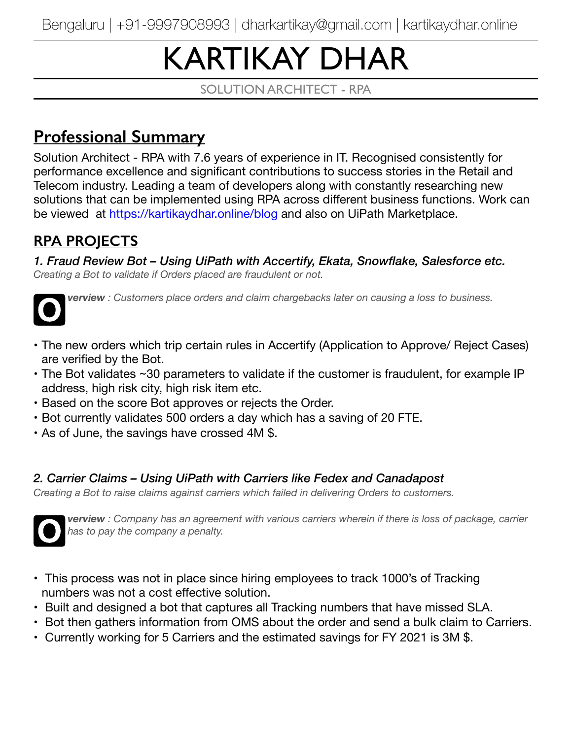# KARTIKAY DHAR

SOLUTION ARCHITECT - RPA

# **Professional Summary**

Solution Architect - RPA with 7.6 years of experience in IT. Recognised consistently for performance excellence and significant contributions to success stories in the Retail and Telecom industry. Leading a team of developers along with constantly researching new solutions that can be implemented using RPA across different business functions. Work can be viewed at<https://kartikaydhar.online/blog> and also on UiPath Marketplace.

# **RPA PROJECTS**

*1. Fraud Review Bot – Using UiPath with Accertify, Ekata, Snowflake, Salesforce etc. Creating a Bot to validate if Orders placed are fraudulent or not.* 



**O** *verview : Customers place orders and claim chargebacks later on causing a loss to business.* 

- The new orders which trip certain rules in Accertify (Application to Approve/ Reject Cases) are verified by the Bot.
- The Bot validates ~30 parameters to validate if the customer is fraudulent, for example IP address, high risk city, high risk item etc.
- Based on the score Bot approves or rejects the Order.
- Bot currently validates 500 orders a day which has a saving of 20 FTE.
- As of June, the savings have crossed 4M \$.

#### *2. Carrier Claims – Using UiPath with Carriers like Fedex and Canadapost*

*Creating a Bot to raise claims against carriers which failed in delivering Orders to customers.* 



**O** *verview : Company has an agreement with various carriers wherein if there is loss of package, carrier has to pay the company a penalty.* 

- This process was not in place since hiring employees to track 1000's of Tracking numbers was not a cost effective solution.
- Built and designed a bot that captures all Tracking numbers that have missed SLA.
- Bot then gathers information from OMS about the order and send a bulk claim to Carriers.
- Currently working for 5 Carriers and the estimated savings for FY 2021 is 3M \$.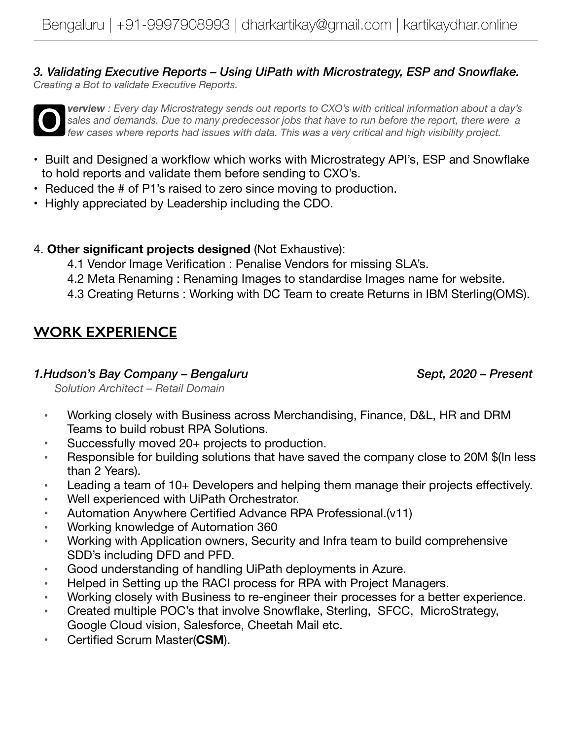*3. Validating Executive Reports – Using UiPath with Microstrategy, ESP and Snowflake. Creating a Bot to validate Executive Reports.* 



**verview** : Every day Microstrategy sends out reports to CXO's with critical information about a day's sales and demands. Due to many predecessor jobs that have to run before the report, there were a few cases where report *sales and demands. Due to many predecessor jobs that have to run before the report, there were a few cases where reports had issues with data. This was a very critical and high visibility project.* 

- Built and Designed a workflow which works with Microstrategy API's, ESP and Snowflake to hold reports and validate them before sending to CXO's.
- Reduced the # of P1's raised to zero since moving to production.
- Highly appreciated by Leadership including the CDO.
- 4. **Other significant projects designed** (Not Exhaustive):
	- 4.1 Vendor Image Verification : Penalise Vendors for missing SLA's.
	- 4.2 Meta Renaming : Renaming Images to standardise Images name for website.
	- 4.3 Creating Returns : Working with DC Team to create Returns in IBM Sterling(OMS).

## **WORK EXPERIENCE**

#### *1.Hudson's Bay Company – Bengaluru Sept, 2020 – Present*

 *Solution Architect – Retail Domain* 

- Working closely with Business across Merchandising, Finance, D&L, HR and DRM Teams to build robust RPA Solutions.
- Successfully moved 20+ projects to production.
- Responsible for building solutions that have saved the company close to 20M \$(In less than 2 Years).
- Leading a team of 10+ Developers and helping them manage their projects effectively.
- Well experienced with UiPath Orchestrator.
- Automation Anywhere Certified Advance RPA Professional.(v11)
- Working knowledge of Automation 360
- Working with Application owners, Security and Infra team to build comprehensive SDD's including DFD and PFD.
- Good understanding of handling UiPath deployments in Azure.
- Helped in Setting up the RACI process for RPA with Project Managers.
- Working closely with Business to re-engineer their processes for a better experience.
- Created multiple POC's that involve Snowflake, Sterling, SFCC, MicroStrategy, Google Cloud vision, Salesforce, Cheetah Mail etc.
- Certified Scrum Master(**CSM**).